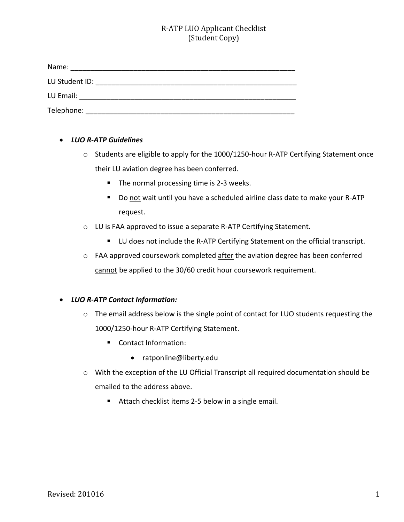## R-ATP LUO Applicant Checklist (Student Copy)

| Name:          |  |
|----------------|--|
| LU Student ID: |  |
| LU Email:      |  |
| Telephone:     |  |

#### • *LUO R-ATP Guidelines*

- o Students are eligible to apply for the 1000/1250-hour R-ATP Certifying Statement once their LU aviation degree has been conferred.
	- The normal processing time is 2-3 weeks.
	- Do not wait until you have a scheduled airline class date to make your R-ATP request.
- o LU is FAA approved to issue a separate R-ATP Certifying Statement.
	- LU does not include the R-ATP Certifying Statement on the official transcript.
- o FAA approved coursework completed after the aviation degree has been conferred cannot be applied to the 30/60 credit hour coursework requirement.

#### • *LUO R-ATP Contact Information:*

- o The email address below is the single point of contact for LUO students requesting the 1000/1250-hour R-ATP Certifying Statement.
	- Contact Information:
		- ratponline@liberty.edu
- o With the exception of the LU Official Transcript all required documentation should be emailed to the address above.
	- Attach checklist items 2-5 below in a single email.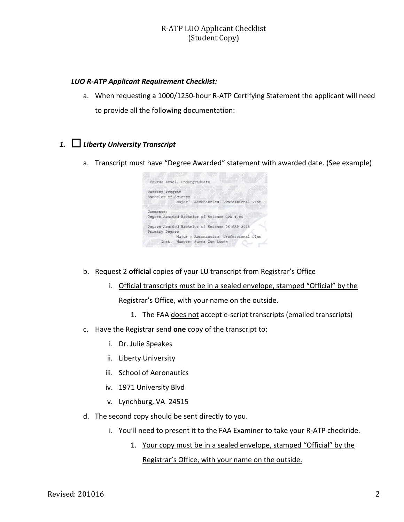#### R-ATP LUO Applicant Checklist (Student Copy)

#### *LUO R-ATP Applicant Requirement Checklist:*

a. When requesting a 1000/1250-hour R-ATP Certifying Statement the applicant will need to provide all the following documentation:

# *1.* ☐ *Liberty University Transcript*

a. Transcript must have "Degree Awarded" statement with awarded date. (See example)

| Course Level: Undergraduate                    |
|------------------------------------------------|
| Current Program                                |
| Bachelor of Science                            |
| Major : Aeronautics: Professional Plot         |
|                                                |
| Comments:                                      |
| Degree Awarded Bachelor of Science GPA 4.00    |
| Degree Awarded Bachelor of Science 06-SEP-2018 |
| Primary Degree                                 |
| Major : Aeronautics: Professional Plot         |
| Inst. Honors: Summa Cum Laude                  |
|                                                |

- b. Request 2 **official** copies of your LU transcript from Registrar's Office
	- i. Official transcripts must be in a sealed envelope, stamped "Official" by the Registrar's Office, with your name on the outside.
		- 1. The FAA does not accept e-script transcripts (emailed transcripts)
- c. Have the Registrar send **one** copy of the transcript to:
	- i. Dr. Julie Speakes
	- ii. Liberty University
	- iii. School of Aeronautics
	- iv. 1971 University Blvd
	- v. Lynchburg, VA 24515
- d. The second copy should be sent directly to you.
	- i. You'll need to present it to the FAA Examiner to take your R-ATP checkride.
		- 1. Your copy must be in a sealed envelope, stamped "Official" by the Registrar's Office, with your name on the outside.